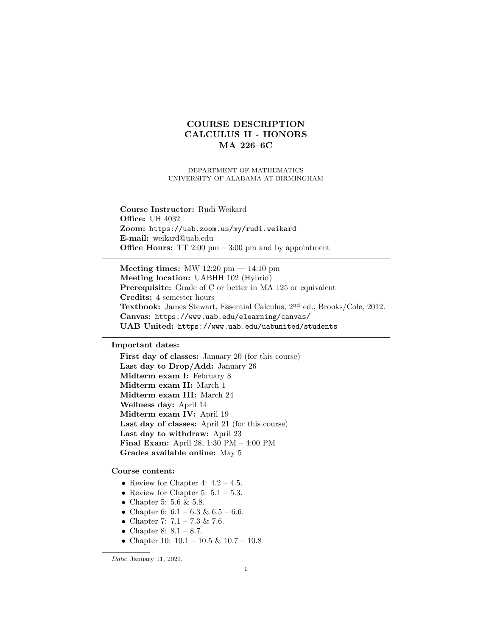# COURSE DESCRIPTION CALCULUS II - HONORS MA 226–6C

DEPARTMENT OF MATHEMATICS UNIVERSITY OF ALABAMA AT BIRMINGHAM

Course Instructor: Rudi Weikard Office: UH 4032 Zoom: https://uab.zoom.us/my/rudi.weikard E-mail: weikard@uab.edu **Office Hours:** TT 2:00 pm  $-3:00$  pm and by appointment

Meeting times: MW 12:20  $\text{pm} - 14:10 \text{pm}$ Meeting location: UABHH 102 (Hybrid) Prerequisite: Grade of C or better in MA 125 or equivalent Credits: 4 semester hours Textbook: James Stewart, Essential Calculus, 2nd ed., Brooks/Cole, 2012. Canvas: https://www.uab.edu/elearning/canvas/ UAB United: https://www.uab.edu/uabunited/students

# Important dates:

First day of classes: January 20 (for this course) Last day to Drop/Add: January 26 Midterm exam I: February 8 Midterm exam II: March 1 Midterm exam III: March 24 Wellness day: April 14 Midterm exam IV: April 19 Last day of classes: April 21 (for this course) Last day to withdraw: April 23 Final Exam: April 28, 1:30 PM – 4:00 PM Grades available online: May 5

## Course content:

- Review for Chapter 4:  $4.2 4.5$ .
- Review for Chapter 5:  $5.1 5.3$ .
- $\bullet$  Chapter 5: 5.6 & 5.8.
- Chapter 6:  $6.1 6.3$  &  $6.5 6.6$ .
- Chapter 7:  $7.1 7.3 \& 7.6$ .
- Chapter 8:  $8.1 8.7$ .
- Chapter 10:  $10.1 10.5 \& 10.7 10.8$

Date: January 11, 2021.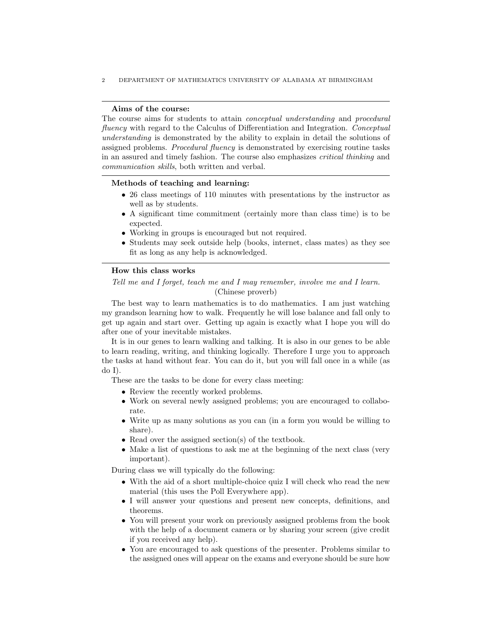2 DEPARTMENT OF MATHEMATICS UNIVERSITY OF ALABAMA AT BIRMINGHAM

#### Aims of the course:

The course aims for students to attain conceptual understanding and procedural fluency with regard to the Calculus of Differentiation and Integration. Conceptual understanding is demonstrated by the ability to explain in detail the solutions of assigned problems. Procedural fluency is demonstrated by exercising routine tasks in an assured and timely fashion. The course also emphasizes critical thinking and communication skills, both written and verbal.

#### Methods of teaching and learning:

- 26 class meetings of 110 minutes with presentations by the instructor as well as by students.
- A significant time commitment (certainly more than class time) is to be expected.
- Working in groups is encouraged but not required.
- Students may seek outside help (books, internet, class mates) as they see fit as long as any help is acknowledged.

#### How this class works

Tell me and I forget, teach me and I may remember, involve me and I learn. (Chinese proverb)

The best way to learn mathematics is to do mathematics. I am just watching my grandson learning how to walk. Frequently he will lose balance and fall only to get up again and start over. Getting up again is exactly what I hope you will do after one of your inevitable mistakes.

It is in our genes to learn walking and talking. It is also in our genes to be able to learn reading, writing, and thinking logically. Therefore I urge you to approach the tasks at hand without fear. You can do it, but you will fall once in a while (as  $d$ o I $).$ 

These are the tasks to be done for every class meeting:

- Review the recently worked problems.
- Work on several newly assigned problems; you are encouraged to collaborate.
- Write up as many solutions as you can (in a form you would be willing to share).
- Read over the assigned section(s) of the textbook.
- Make a list of questions to ask me at the beginning of the next class (very important).

During class we will typically do the following:

- With the aid of a short multiple-choice quiz I will check who read the new material (this uses the Poll Everywhere app).
- I will answer your questions and present new concepts, definitions, and theorems.
- You will present your work on previously assigned problems from the book with the help of a document camera or by sharing your screen (give credit if you received any help).
- You are encouraged to ask questions of the presenter. Problems similar to the assigned ones will appear on the exams and everyone should be sure how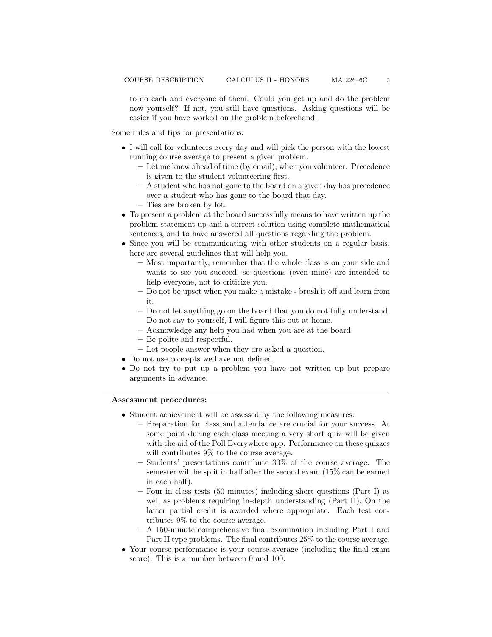to do each and everyone of them. Could you get up and do the problem now yourself? If not, you still have questions. Asking questions will be easier if you have worked on the problem beforehand.

Some rules and tips for presentations:

- I will call for volunteers every day and will pick the person with the lowest running course average to present a given problem.
	- Let me know ahead of time (by email), when you volunteer. Precedence is given to the student volunteering first.
	- A student who has not gone to the board on a given day has precedence over a student who has gone to the board that day.
	- Ties are broken by lot.
- To present a problem at the board successfully means to have written up the problem statement up and a correct solution using complete mathematical sentences, and to have answered all questions regarding the problem.
- Since you will be communicating with other students on a regular basis, here are several guidelines that will help you.
	- Most importantly, remember that the whole class is on your side and wants to see you succeed, so questions (even mine) are intended to help everyone, not to criticize you.
	- Do not be upset when you make a mistake brush it off and learn from it.
	- Do not let anything go on the board that you do not fully understand. Do not say to yourself, I will figure this out at home.
	- Acknowledge any help you had when you are at the board.
	- Be polite and respectful.
	- Let people answer when they are asked a question.
- Do not use concepts we have not defined.
- Do not try to put up a problem you have not written up but prepare arguments in advance.

Assessment procedures:

- Student achievement will be assessed by the following measures:
	- Preparation for class and attendance are crucial for your success. At some point during each class meeting a very short quiz will be given with the aid of the Poll Everywhere app. Performance on these quizzes will contributes  $9\%$  to the course average.
	- Students' presentations contribute 30% of the course average. The semester will be split in half after the second exam (15% can be earned in each half).
	- Four in class tests (50 minutes) including short questions (Part I) as well as problems requiring in-depth understanding (Part II). On the latter partial credit is awarded where appropriate. Each test contributes 9% to the course average.
	- A 150-minute comprehensive final examination including Part I and Part II type problems. The final contributes 25% to the course average.
- Your course performance is your course average (including the final exam score). This is a number between 0 and 100.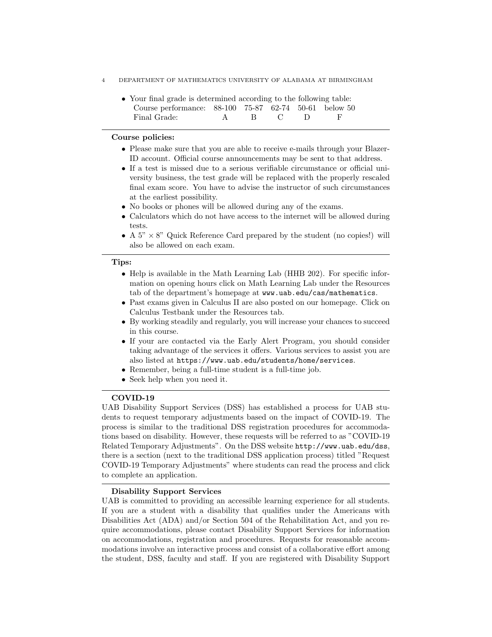- 4 DEPARTMENT OF MATHEMATICS UNIVERSITY OF ALABAMA AT BIRMINGHAM
	- Your final grade is determined according to the following table: Course performance: 88-100 75-87 62-74 50-61 below 50 Final Grade: A B C D F

#### Course policies:

- Please make sure that you are able to receive e-mails through your Blazer-ID account. Official course announcements may be sent to that address.
- If a test is missed due to a serious verifiable circumstance or official university business, the test grade will be replaced with the properly rescaled final exam score. You have to advise the instructor of such circumstances at the earliest possibility.
- No books or phones will be allowed during any of the exams.
- Calculators which do not have access to the internet will be allowed during tests.
- A  $5" \times 8"$  Quick Reference Card prepared by the student (no copies!) will also be allowed on each exam.

#### Tips:

- Help is available in the Math Learning Lab (HHB 202). For specific information on opening hours click on Math Learning Lab under the Resources tab of the department's homepage at www.uab.edu/cas/mathematics.
- Past exams given in Calculus II are also posted on our homepage. Click on Calculus Testbank under the Resources tab.
- By working steadily and regularly, you will increase your chances to succeed in this course.
- If your are contacted via the Early Alert Program, you should consider taking advantage of the services it offers. Various services to assist you are also listed at https://www.uab.edu/students/home/services.
- Remember, being a full-time student is a full-time job.
- Seek help when you need it.

### COVID-19

UAB Disability Support Services (DSS) has established a process for UAB students to request temporary adjustments based on the impact of COVID-19. The process is similar to the traditional DSS registration procedures for accommodations based on disability. However, these requests will be referred to as "COVID-19 Related Temporary Adjustments". On the DSS website http://www.uab.edu/dss, there is a section (next to the traditional DSS application process) titled "Request COVID-19 Temporary Adjustments" where students can read the process and click to complete an application.

#### Disability Support Services

UAB is committed to providing an accessible learning experience for all students. If you are a student with a disability that qualifies under the Americans with Disabilities Act (ADA) and/or Section 504 of the Rehabilitation Act, and you require accommodations, please contact Disability Support Services for information on accommodations, registration and procedures. Requests for reasonable accommodations involve an interactive process and consist of a collaborative effort among the student, DSS, faculty and staff. If you are registered with Disability Support